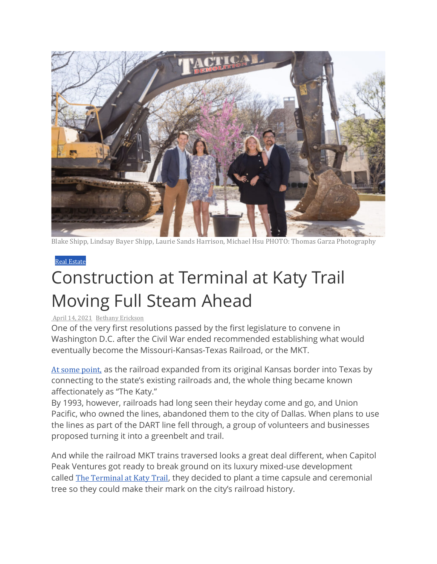

Blake Shipp, Lindsay Bayer Shipp, Laurie Sands Harrison, [Michael Hsu PHOTO:](https://www.prestonhollowpeople.com/wp-content/uploads/2021/04/Screenshot-2021-04-12-9.25.22-PM-e1618280930946.jpg) Thomas Garza Photography

## Real [Estate](https://www.prestonhollowpeople.com/category/real-estate/)

## Construction at Terminal at Katy Trail Moving Full Steam Ahead

## April 14, [2021](https://www.prestonhollowpeople.com/2021/04/14/construction-at-katy-trail-moving-full-steam-ahead/) [Bethany](https://www.prestonhollowpeople.com/author/bethany-erickson/) Erickson

One of the very first resolutions passed by the first legislature to convene in Washington D.C. after the Civil War ended recommended establishing what would eventually become the Missouri-Kansas-Texas Railroad, or the MKT.

At some [point,](https://www.tshaonline.org/handbook/entries/missouri-kansas-texas-railroad) as the railroad expanded from its original Kansas border into Texas by connecting to the state's existing railroads and, the whole thing became known affectionately as "The Katy."

By 1993, however, railroads had long seen their heyday come and go, and Union Pacific, who owned the lines, abandoned them to the city of Dallas. When plans to use the lines as part of the DART line fell through, a group of volunteers and businesses proposed turning it into a greenbelt and trail.

And while the railroad MKT trains traversed looks a great deal different, when Capitol Peak Ventures got ready to break ground on its luxury mixed-use development called [The Terminal](https://www.theterminalatkatytrail.com/) at Katy Trail, they decided to plant a time capsule and ceremonial tree so they could make their mark on the city's railroad history.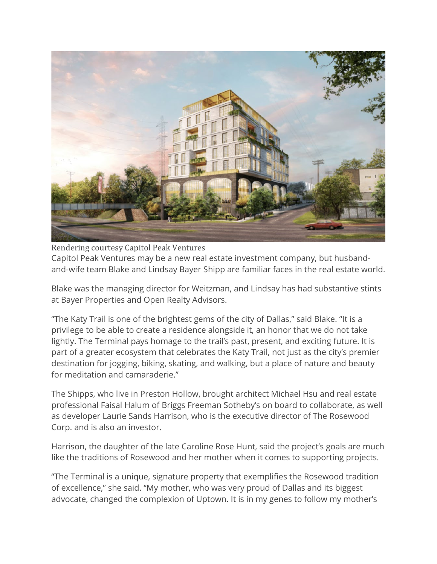

Rendering courtesy Capitol Peak Ventures Capitol Peak Ventures may be a new real estate investment company, but husbandand-wife team Blake and Lindsay Bayer Shipp are familiar faces in the real estate world.

Blake was the managing director for Weitzman, and Lindsay has had substantive stints at Bayer Properties and Open Realty Advisors.

"The Katy Trail is one of the brightest gems of the city of Dallas," said Blake. "It is a privilege to be able to create a residence alongside it, an honor that we do not take lightly. The Terminal pays homage to the trail's past, present, and exciting future. It is part of a greater ecosystem that celebrates the Katy Trail, not just as the city's premier destination for jogging, biking, skating, and walking, but a place of nature and beauty for meditation and camaraderie."

The Shipps, who live in Preston Hollow, brought architect Michael Hsu and real estate professional Faisal Halum of Briggs Freeman Sotheby's on board to collaborate, as well as developer Laurie Sands Harrison, who is the executive director of The Rosewood Corp. and is also an investor.

Harrison, the daughter of the late Caroline Rose Hunt, said the project's goals are much like the traditions of Rosewood and her mother when it comes to supporting projects.

"The Terminal is a unique, signature property that exemplifies the Rosewood tradition of excellence," she said. "My mother, who was very proud of Dallas and its biggest advocate, changed the complexion of Uptown. It is in my genes to follow my mother's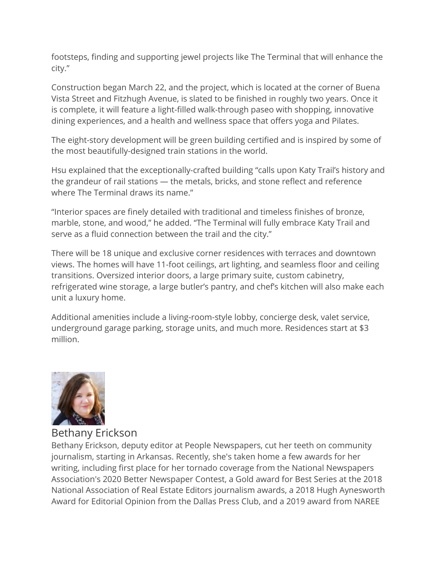footsteps, finding and supporting jewel projects like The Terminal that will enhance the city."

Construction began March 22, and the project, which is located at the corner of Buena Vista Street and Fitzhugh Avenue, is slated to be finished in roughly two years. Once it is complete, it will feature a light-filled walk-through paseo with shopping, innovative dining experiences, and a health and wellness space that offers yoga and Pilates.

The eight-story development will be green building certified and is inspired by some of the most beautifully-designed train stations in the world.

Hsu explained that the exceptionally-crafted building "calls upon Katy Trail's history and the grandeur of rail stations — the metals, bricks, and stone reflect and reference where The Terminal draws its name."

"Interior spaces are finely detailed with traditional and timeless finishes of bronze, marble, stone, and wood," he added. "The Terminal will fully embrace Katy Trail and serve as a fluid connection between the trail and the city."

There will be 18 unique and exclusive corner residences with terraces and downtown views. The homes will have 11-foot ceilings, art lighting, and seamless floor and ceiling transitions. Oversized interior doors, a large primary suite, custom cabinetry, refrigerated wine storage, a large butler's pantry, and chef's kitchen will also make each unit a luxury home.

Additional amenities include a living-room-style lobby, concierge desk, valet service, underground garage parking, storage units, and much more. Residences start at \$3 million.



Bethany Erickson

Bethany Erickson, deputy editor at People Newspapers, cut her teeth on community journalism, starting in Arkansas. Recently, she's taken home a few awards for her writing, including first place for her tornado coverage from the National Newspapers Association's 2020 Better Newspaper Contest, a Gold award for Best Series at the 2018 National Association of Real Estate Editors journalism awards, a 2018 Hugh Aynesworth Award for Editorial Opinion from the Dallas Press Club, and a 2019 award from NAREE